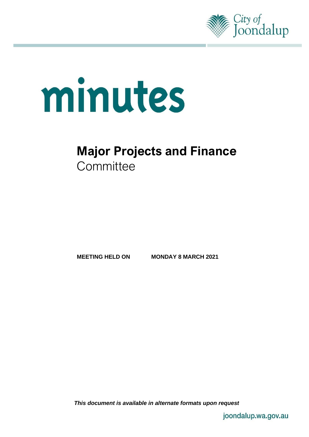

# minutes

# **Major Projects and Finance Committee**

**MEETING HELD ON MONDAY 8 MARCH 2021**

*This document is available in alternate formats upon request*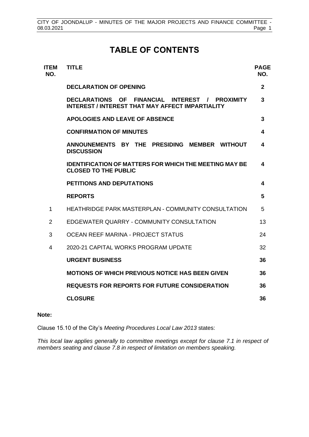# **TABLE OF CONTENTS**

| <b>ITEM</b><br>NO. | <b>TITLE</b>                                                                                                        | <b>PAGE</b><br>NO. |
|--------------------|---------------------------------------------------------------------------------------------------------------------|--------------------|
|                    | <b>DECLARATION OF OPENING</b>                                                                                       | $\mathbf{2}$       |
|                    | <b>DECLARATIONS OF</b><br>FINANCIAL INTEREST / PROXIMITY<br><b>INTEREST / INTEREST THAT MAY AFFECT IMPARTIALITY</b> | 3                  |
|                    | <b>APOLOGIES AND LEAVE OF ABSENCE</b>                                                                               | 3                  |
|                    | <b>CONFIRMATION OF MINUTES</b>                                                                                      | 4                  |
|                    | ANNOUNEMENTS BY THE PRESIDING<br><b>MEMBER WITHOUT</b><br><b>DISCUSSION</b>                                         | 4                  |
|                    | <b>IDENTIFICATION OF MATTERS FOR WHICH THE MEETING MAY BE</b><br><b>CLOSED TO THE PUBLIC</b>                        | 4                  |
|                    | <b>PETITIONS AND DEPUTATIONS</b>                                                                                    | 4                  |
|                    | <b>REPORTS</b>                                                                                                      | 5                  |
| $\mathbf{1}$       | <b>HEATHRIDGE PARK MASTERPLAN - COMMUNITY CONSULTATION</b>                                                          | 5                  |
| $\overline{2}$     | EDGEWATER QUARRY - COMMUNITY CONSULTATION                                                                           | 13                 |
| 3                  | OCEAN REEF MARINA - PROJECT STATUS                                                                                  | 24                 |
| 4                  | 2020-21 CAPITAL WORKS PROGRAM UPDATE                                                                                | 32                 |
|                    | <b>URGENT BUSINESS</b>                                                                                              | 36                 |
|                    | <b>MOTIONS OF WHICH PREVIOUS NOTICE HAS BEEN GIVEN</b>                                                              | 36                 |
|                    | <b>REQUESTS FOR REPORTS FOR FUTURE CONSIDERATION</b>                                                                | 36                 |
|                    | <b>CLOSURE</b>                                                                                                      | 36                 |
|                    |                                                                                                                     |                    |

#### **Note:**

Clause 15.10 of the City's *Meeting Procedures Local Law 2013* states:

*This local law applies generally to committee meetings except for clause 7.1 in respect of members seating and clause 7.8 in respect of limitation on members speaking.*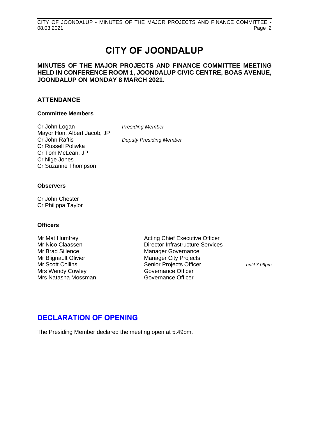# **CITY OF JOONDALUP**

## **MINUTES OF THE MAJOR PROJECTS AND FINANCE COMMITTEE MEETING HELD IN CONFERENCE ROOM 1, JOONDALUP CIVIC CENTRE, BOAS AVENUE, JOONDALUP ON MONDAY 8 MARCH 2021.**

## **ATTENDANCE**

#### **Committee Members**

Cr John Logan *Presiding Member* Mayor Hon. Albert Jacob, JP<br>Cr John Raftis Cr Russell Poliwka Cr Tom McLean, JP Cr Nige Jones Cr Suzanne Thompson

**Deputy Presiding Member** 

#### **Observers**

Cr John Chester Cr Philippa Taylor

#### **Officers**

Mr Brad Sillence Manager Governance Mr Blignault Olivier **Manager City Projects** Mrs Wendy Cowley<br>
Mrs Natasha Mossman<br>
Governance Officer Mrs Natasha Mossman

Mr Mat Humfrey **Acting Chief Executive Officer** Acting Chief Executive Officer Mr Nico Claassen Director Infrastructure Services Mr Scott Collins **Senior Projects Officer** *until 7.06pm* 

## <span id="page-2-0"></span>**DECLARATION OF OPENING**

The Presiding Member declared the meeting open at 5.49pm.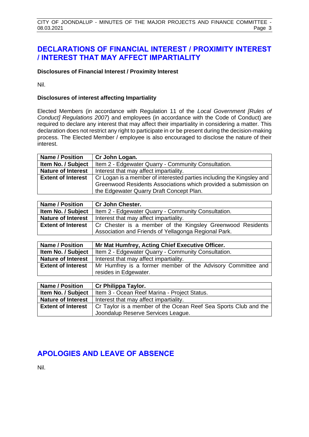# <span id="page-3-0"></span>**DECLARATIONS OF FINANCIAL INTEREST / PROXIMITY INTEREST / INTEREST THAT MAY AFFECT IMPARTIALITY**

#### **Disclosures of Financial Interest / Proximity Interest**

Nil.

#### **Disclosures of interest affecting Impartiality**

Elected Members (in accordance with Regulation 11 of the *Local Government [Rules of Conduct] Regulations 2007*) and employees (in accordance with the Code of Conduct) are required to declare any interest that may affect their impartiality in considering a matter. This declaration does not restrict any right to participate in or be present during the decision-making process. The Elected Member / employee is also encouraged to disclose the nature of their interest.

| <b>Name / Position</b>    | Cr John Logan.                                                        |
|---------------------------|-----------------------------------------------------------------------|
| Item No. / Subject        | Item 2 - Edgewater Quarry - Community Consultation.                   |
| <b>Nature of Interest</b> | Interest that may affect impartiality.                                |
| <b>Extent of Interest</b> | Cr Logan is a member of interested parties including the Kingsley and |
|                           | Greenwood Residents Associations which provided a submission on       |
|                           | the Edgewater Quarry Draft Concept Plan.                              |

| <b>Name / Position</b> | Cr John Chester.                                                                       |  |  |
|------------------------|----------------------------------------------------------------------------------------|--|--|
| Item No. / Subject     | I Item 2 - Edgewater Quarry - Community Consultation.                                  |  |  |
|                        | <b>Nature of Interest</b>   Interest that may affect impartiality.                     |  |  |
|                        | <b>Extent of Interest</b>   Cr Chester is a member of the Kingsley Greenwood Residents |  |  |
|                        | Association and Friends of Yellagonga Regional Park.                                   |  |  |

| <b>Name / Position</b>    | Mr Mat Humfrey, Acting Chief Executive Officer.             |
|---------------------------|-------------------------------------------------------------|
| Item No. / Subject        | Item 2 - Edgewater Quarry - Community Consultation.         |
| <b>Nature of Interest</b> | Interest that may affect impartiality.                      |
| <b>Extent of Interest</b> | Mr Humfrey is a former member of the Advisory Committee and |
|                           | resides in Edgewater.                                       |

| <b>Name / Position</b>    | Cr Philippa Taylor.                                             |
|---------------------------|-----------------------------------------------------------------|
| Item No. / Subject        | Item 3 - Ocean Reef Marina - Project Status.                    |
| <b>Nature of Interest</b> | Interest that may affect impartiality.                          |
| <b>Extent of Interest</b> | Cr Taylor is a member of the Ocean Reef Sea Sports Club and the |
|                           | Joondalup Reserve Services League.                              |

# <span id="page-3-1"></span>**APOLOGIES AND LEAVE OF ABSENCE**

Nil.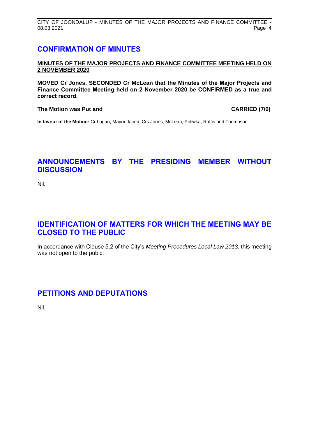# <span id="page-4-0"></span>**CONFIRMATION OF MINUTES**

#### **MINUTES OF THE MAJOR PROJECTS AND FINANCE COMMITTEE MEETING HELD ON 2 NOVEMBER 2020**

**MOVED Cr Jones, SECONDED Cr McLean that the Minutes of the Major Projects and Finance Committee Meeting held on 2 November 2020 be CONFIRMED as a true and correct record.**

#### **The Motion was Put and CARRIED (7/0)**

**In favour of the Motion:** Cr Logan, Mayor Jacob, Crs Jones, McLean, Poliwka, Raftis and Thompson.

# <span id="page-4-1"></span>**ANNOUNCEMENTS BY THE PRESIDING MEMBER WITHOUT DISCUSSION**

Nil.

# <span id="page-4-2"></span>**IDENTIFICATION OF MATTERS FOR WHICH THE MEETING MAY BE CLOSED TO THE PUBLIC**

In accordance with Clause 5.2 of the City's *Meeting Procedures Local Law 2013*, this meeting was not open to the pubic.

# <span id="page-4-3"></span>**PETITIONS AND DEPUTATIONS**

Nil.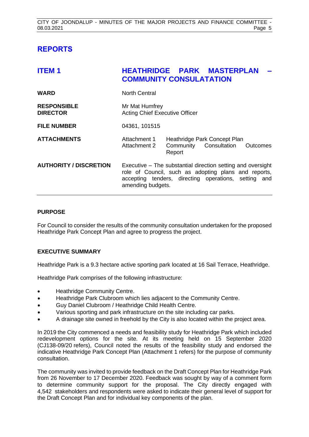# <span id="page-5-0"></span>**REPORTS**

<span id="page-5-1"></span>

| <b>ITEM1</b>                          | <b>HEATHRIDGE PARK MASTERPLAN</b><br><b>COMMUNITY CONSULATATION</b>                                                                                                                              |                                  |                              |          |
|---------------------------------------|--------------------------------------------------------------------------------------------------------------------------------------------------------------------------------------------------|----------------------------------|------------------------------|----------|
| <b>WARD</b>                           | <b>North Central</b>                                                                                                                                                                             |                                  |                              |          |
| <b>RESPONSIBLE</b><br><b>DIRECTOR</b> | Mr Mat Humfrey<br><b>Acting Chief Executive Officer</b>                                                                                                                                          |                                  |                              |          |
| <b>FILE NUMBER</b>                    | 04361, 101515                                                                                                                                                                                    |                                  |                              |          |
| <b>ATTACHMENTS</b>                    | Attachment 1<br>Attachment 2                                                                                                                                                                     | Community Consultation<br>Report | Heathridge Park Concept Plan | Outcomes |
| <b>AUTHORITY / DISCRETION</b>         | Executive – The substantial direction setting and oversight<br>role of Council, such as adopting plans and reports,<br>accepting tenders, directing operations, setting and<br>amending budgets. |                                  |                              |          |

#### **PURPOSE**

For Council to consider the results of the community consultation undertaken for the proposed Heathridge Park Concept Plan and agree to progress the project.

#### **EXECUTIVE SUMMARY**

Heathridge Park is a 9.3 hectare active sporting park located at 16 Sail Terrace, Heathridge.

Heathridge Park comprises of the following infrastructure:

- Heathridge Community Centre.
- Heathridge Park Clubroom which lies adjacent to the Community Centre.
- Guy Daniel Clubroom / Heathridge Child Health Centre.
- Various sporting and park infrastructure on the site including car parks.
- A drainage site owned in freehold by the City is also located within the project area.

In 2019 the City commenced a needs and feasibility study for Heathridge Park which included redevelopment options for the site. At its meeting held on 15 September 2020 (CJ138-09/20 refers), Council noted the results of the feasibility study and endorsed the indicative Heathridge Park Concept Plan (Attachment 1 refers) for the purpose of community consultation.

The community was invited to provide feedback on the Draft Concept Plan for Heathridge Park from 26 November to 17 December 2020. Feedback was sought by way of a comment form to determine community support for the proposal. The City directly engaged with 4,542 stakeholders and respondents were asked to indicate their general level of support for the Draft Concept Plan and for individual key components of the plan.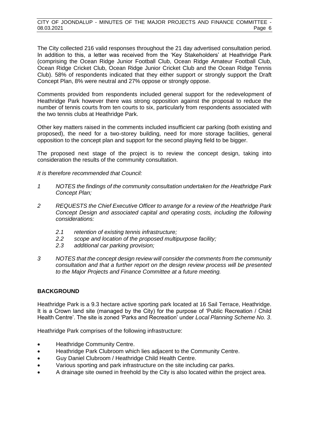The City collected 216 valid responses throughout the 21 day advertised consultation period. In addition to this, a letter was received from the 'Key Stakeholders' at Heathridge Park (comprising the Ocean Ridge Junior Football Club, Ocean Ridge Amateur Football Club, Ocean Ridge Cricket Club, Ocean Ridge Junior Cricket Club and the Ocean Ridge Tennis Club). 58% of respondents indicated that they either support or strongly support the Draft Concept Plan, 8% were neutral and 27% oppose or strongly oppose.

Comments provided from respondents included general support for the redevelopment of Heathridge Park however there was strong opposition against the proposal to reduce the number of tennis courts from ten courts to six, particularly from respondents associated with the two tennis clubs at Heathridge Park.

Other key matters raised in the comments included insufficient car parking (both existing and proposed), the need for a two-storey building, need for more storage facilities, general opposition to the concept plan and support for the second playing field to be bigger.

The proposed next stage of the project is to review the concept design, taking into consideration the results of the community consultation.

*It is therefore recommended that Council:*

- *1 NOTES the findings of the community consultation undertaken for the Heathridge Park Concept Plan;*
- *2 REQUESTS the Chief Executive Officer to arrange for a review of the Heathridge Park Concept Design and associated capital and operating costs, including the following considerations:*
	- *2.1 retention of existing tennis infrastructure;*
	- *2.2 scope and location of the proposed multipurpose facility;*
	- *2.3 additional car parking provision;*
- *3 NOTES that the concept design review will consider the comments from the community consultation and that a further report on the design review process will be presented to the Major Projects and Finance Committee at a future meeting.*

#### **BACKGROUND**

Heathridge Park is a 9.3 hectare active sporting park located at 16 Sail Terrace, Heathridge. It is a Crown land site (managed by the City) for the purpose of 'Public Recreation / Child Health Centre'. The site is zoned 'Parks and Recreation' under *Local Planning Scheme No. 3*.

Heathridge Park comprises of the following infrastructure:

- Heathridge Community Centre.
- Heathridge Park Clubroom which lies adjacent to the Community Centre.
- Guy Daniel Clubroom / Heathridge Child Health Centre.
- Various sporting and park infrastructure on the site including car parks.
- A drainage site owned in freehold by the City is also located within the project area.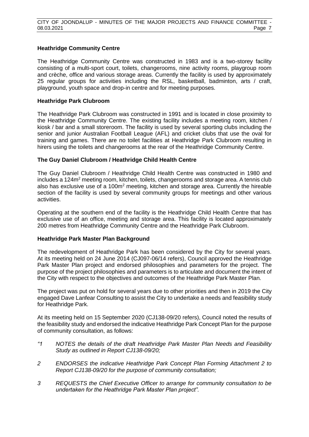#### **Heathridge Community Centre**

The Heathridge Community Centre was constructed in 1983 and is a two-storey facility consisting of a multi-sport court, toilets, changerooms, nine activity rooms, playgroup room and crèche, office and various storage areas. Currently the facility is used by approximately 25 regular groups for activities including the RSL, basketball, badminton, arts / craft, playground, youth space and drop-in centre and for meeting purposes.

#### **Heathridge Park Clubroom**

The Heathridge Park Clubroom was constructed in 1991 and is located in close proximity to the Heathridge Community Centre. The existing facility includes a meeting room, kitchen / kiosk / bar and a small storeroom. The facility is used by several sporting clubs including the senior and junior Australian Football League (AFL) and cricket clubs that use the oval for training and games. There are no toilet facilities at Heathridge Park Clubroom resulting in hirers using the toilets and changerooms at the rear of the Heathridge Community Centre.

#### **The Guy Daniel Clubroom / Heathridge Child Health Centre**

The Guy Daniel Clubroom / Heathridge Child Health Centre was constructed in 1980 and  $includes a 124m<sup>2</sup> meeting room, kitchen, toilets, changerooms and storage area. A tennis club$ also has exclusive use of a 100m<sup>2</sup> meeting, kitchen and storage area. Currently the hireable section of the facility is used by several community groups for meetings and other various activities.

Operating at the southern end of the facility is the Heathridge Child Health Centre that has exclusive use of an office, meeting and storage area. This facility is located approximately 200 metres from Heathridge Community Centre and the Heathridge Park Clubroom.

#### **Heathridge Park Master Plan Background**

The redevelopment of Heathridge Park has been considered by the City for several years. At its meeting held on 24 June 2014 (CJ097-06/14 refers), Council approved the Heathridge Park Master Plan project and endorsed philosophies and parameters for the project. The purpose of the project philosophies and parameters is to articulate and document the intent of the City with respect to the objectives and outcomes of the Heathridge Park Master Plan*.*

The project was put on hold for several years due to other priorities and then in 2019 the City engaged Dave Lanfear Consulting to assist the City to undertake a needs and feasibility study for Heathridge Park.

At its meeting held on 15 September 2020 (CJ138-09/20 refers), Council noted the results of the feasibility study and endorsed the indicative Heathridge Park Concept Plan for the purpose of community consultation, as follows:

- *"1 NOTES the details of the draft Heathridge Park Master Plan Needs and Feasibility Study as outlined in Report CJ138-09/20;*
- *2 ENDORSES the indicative Heathridge Park Concept Plan Forming Attachment 2 to Report CJ138-09/20 for the purpose of community consultation;*
- *3 REQUESTS the Chief Executive Officer to arrange for community consultation to be undertaken for the Heathridge Park Master Plan project".*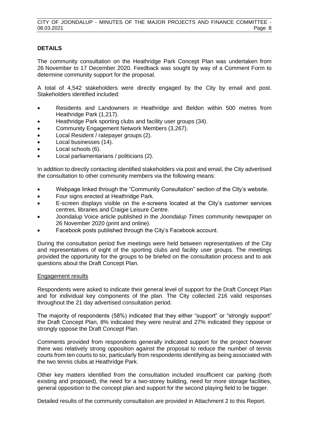#### **DETAILS**

The community consultation on the Heathridge Park Concept Plan was undertaken from 26 November to 17 December 2020. Feedback was sought by way of a Comment Form to determine community support for the proposal.

A total of 4,542 stakeholders were directly engaged by the City by email and post. Stakeholders identified included:

- Residents and Landowners in Heathridge and Beldon within 500 metres from Heathridge Park (1,217).
- Heathridge Park sporting clubs and facility user groups (34).
- Community Engagement Network Members (3,267).
- Local Resident / ratepayer groups (2).
- Local businesses (14).
- Local schools (6).
- Local parliamentarians / politicians (2).

In addition to directly contacting identified stakeholders via post and email, the City advertised the consultation to other community members via the following means:

- Webpage linked through the "Community Consultation" section of the City's website.
- Four signs erected at Heathridge Park.
- E-screen displays visible on the e-screens located at the City's customer services centres, libraries and Craigie Leisure Centre.
- Joondalup Voice article published in the *Joondalup Times* community newspaper on 26 November 2020 (print and online).
- Facebook posts published through the City's Facebook account.

During the consultation period five meetings were held between representatives of the City and representatives of eight of the sporting clubs and facility user groups. The meetings provided the opportunity for the groups to be briefed on the consultation process and to ask questions about the Draft Concept Plan.

#### Engagement results

Respondents were asked to indicate their general level of support for the Draft Concept Plan and for individual key components of the plan. The City collected 216 valid responses throughout the 21 day advertised consultation period.

The majority of respondents (58%) indicated that they either "support" or "strongly support" the Draft Concept Plan, 8% indicated they were neutral and 27% indicated they oppose or strongly oppose the Draft Concept Plan.

Comments provided from respondents generally indicated support for the project however there was relatively strong opposition against the proposal to reduce the number of tennis courts from ten courts to six, particularly from respondents identifying as being associated with the two tennis clubs at Heathridge Park.

Other key matters identified from the consultation included insufficient car parking (both existing and proposed), the need for a two-storey building, need for more storage facilities, general opposition to the concept plan and support for the second playing field to be bigger.

Detailed results of the community consultation are provided in Attachment 2 to this Report.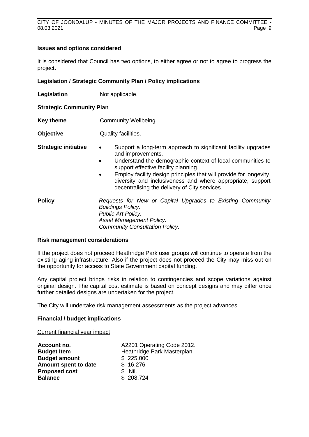#### **Issues and options considered**

It is considered that Council has two options, to either agree or not to agree to progress the project.

#### **Legislation / Strategic Community Plan / Policy implications**

**Legislation** Not applicable.

**Strategic Community Plan**

- **Key theme Community Wellbeing.**
- **Objective** Quality facilities.

- **Strategic initiative •** Support a long-term approach to significant facility upgrades and improvements.
	- Understand the demographic context of local communities to support effective facility planning.
	- Employ facility design principles that will provide for longevity, diversity and inclusiveness and where appropriate, support decentralising the delivery of City services.

**Policy** *Requests for New or Capital Upgrades to Existing Community Buildings Policy. Public Art Policy. Asset Management Policy. Community Consultation Policy.*

#### **Risk management considerations**

If the project does not proceed Heathridge Park user groups will continue to operate from the existing aging infrastructure. Also if the project does not proceed the City may miss out on the opportunity for access to State Government capital funding.

Any capital project brings risks in relation to contingencies and scope variations against original design. The capital cost estimate is based on concept designs and may differ once further detailed designs are undertaken for the project.

The City will undertake risk management assessments as the project advances.

#### **Financial / budget implications**

Current financial year impact

| Account no.          | A2201 Operating Code 2012.  |
|----------------------|-----------------------------|
| <b>Budget Item</b>   | Heathridge Park Masterplan. |
| <b>Budget amount</b> | \$225,000                   |
| Amount spent to date | \$16,276                    |
| <b>Proposed cost</b> | \$ Nil.                     |
| <b>Balance</b>       | \$208,724                   |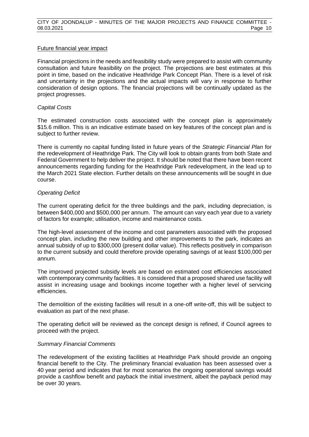#### Future financial year impact

Financial projections in the needs and feasibility study were prepared to assist with community consultation and future feasibility on the project. The projections are best estimates at this point in time, based on the indicative Heathridge Park Concept Plan. There is a level of risk and uncertainty in the projections and the actual impacts will vary in response to further consideration of design options. The financial projections will be continually updated as the project progresses.

#### *Capital Costs*

The estimated construction costs associated with the concept plan is approximately \$15.6 million. This is an indicative estimate based on key features of the concept plan and is subject to further review.

There is currently no capital funding listed in future years of the *Strategic Financial Plan* for the redevelopment of Heathridge Park. The City will look to obtain grants from both State and Federal Government to help deliver the project. It should be noted that there have been recent announcements regarding funding for the Heathridge Park redevelopment, in the lead up to the March 2021 State election. Further details on these announcements will be sought in due course.

#### *Operating Deficit*

The current operating deficit for the three buildings and the park, including depreciation, is between \$400,000 and \$500,000 per annum. The amount can vary each year due to a variety of factors for example; utilisation, income and maintenance costs.

The high-level assessment of the income and cost parameters associated with the proposed concept plan, including the new building and other improvements to the park, indicates an annual subsidy of up to \$300,000 (present dollar value). This reflects positively in comparison to the current subsidy and could therefore provide operating savings of at least \$100,000 per annum.

The improved projected subsidy levels are based on estimated cost efficiencies associated with contemporary community facilities. It is considered that a proposed shared use facility will assist in increasing usage and bookings income together with a higher level of servicing efficiencies.

The demolition of the existing facilities will result in a one-off write-off, this will be subject to evaluation as part of the next phase.

The operating deficit will be reviewed as the concept design is refined, if Council agrees to proceed with the project.

#### *Summary Financial Comments*

The redevelopment of the existing facilities at Heathridge Park should provide an ongoing financial benefit to the City. The preliminary financial evaluation has been assessed over a 40 year period and indicates that for most scenarios the ongoing operational savings would provide a cashflow benefit and payback the initial investment, albeit the payback period may be over 30 years.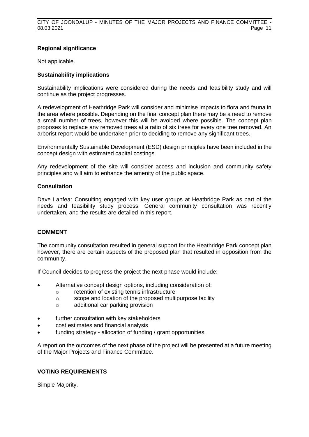#### **Regional significance**

Not applicable.

#### **Sustainability implications**

Sustainability implications were considered during the needs and feasibility study and will continue as the project progresses.

A redevelopment of Heathridge Park will consider and minimise impacts to flora and fauna in the area where possible. Depending on the final concept plan there may be a need to remove a small number of trees, however this will be avoided where possible. The concept plan proposes to replace any removed trees at a ratio of six trees for every one tree removed. An arborist report would be undertaken prior to deciding to remove any significant trees.

Environmentally Sustainable Development (ESD) design principles have been included in the concept design with estimated capital costings.

Any redevelopment of the site will consider access and inclusion and community safety principles and will aim to enhance the amenity of the public space.

#### **Consultation**

Dave Lanfear Consulting engaged with key user groups at Heathridge Park as part of the needs and feasibility study process. General community consultation was recently undertaken, and the results are detailed in this report.

#### **COMMENT**

The community consultation resulted in general support for the Heathridge Park concept plan however, there are certain aspects of the proposed plan that resulted in opposition from the community.

If Council decides to progress the project the next phase would include:

- Alternative concept design options, including consideration of:
	- o retention of existing tennis infrastructure
	- o scope and location of the proposed multipurpose facility
	- o additional car parking provision
- further consultation with key stakeholders
- cost estimates and financial analysis
- funding strategy allocation of funding / grant opportunities.

A report on the outcomes of the next phase of the project will be presented at a future meeting of the Major Projects and Finance Committee.

#### **VOTING REQUIREMENTS**

Simple Majority.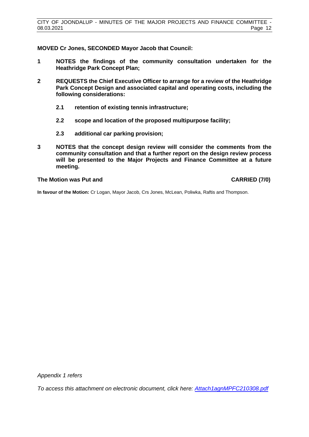**MOVED Cr Jones, SECONDED Mayor Jacob that Council:**

- **1 NOTES the findings of the community consultation undertaken for the Heathridge Park Concept Plan;**
- **2 REQUESTS the Chief Executive Officer to arrange for a review of the Heathridge Park Concept Design and associated capital and operating costs, including the following considerations:**
	- **2.1 retention of existing tennis infrastructure;**
	- **2.2 scope and location of the proposed multipurpose facility;**
	- **2.3 additional car parking provision;**
- **3 NOTES that the concept design review will consider the comments from the community consultation and that a further report on the design review process will be presented to the Major Projects and Finance Committee at a future meeting.**

#### **The Motion was Put and CARRIED (7/0)**

**In favour of the Motion:** Cr Logan, Mayor Jacob, Crs Jones, McLean, Poliwka, Raftis and Thompson.

*Appendix 1 refers*

*To access this attachment on electronic document, click her[e: Attach1agnMPFC210308.pdf](http://www.joondalup.wa.gov.au/files/committees/MPFI/2021/Attach1agnMPFC210308.pdf)*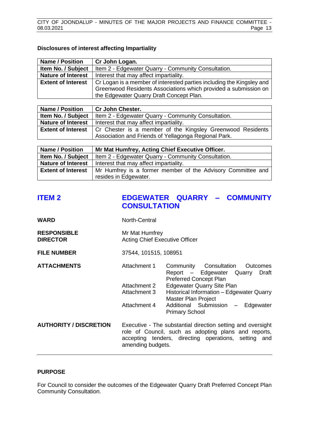#### **Disclosures of interest affecting Impartiality**

| <b>Name / Position</b>                                                                             | Cr John Logan.                                                  |
|----------------------------------------------------------------------------------------------------|-----------------------------------------------------------------|
| Item No. / Subject                                                                                 | Item 2 - Edgewater Quarry - Community Consultation.             |
| <b>Nature of Interest</b>                                                                          | Interest that may affect impartiality.                          |
| Cr Logan is a member of interested parties including the Kingsley and<br><b>Extent of Interest</b> |                                                                 |
|                                                                                                    | Greenwood Residents Associations which provided a submission on |
|                                                                                                    | the Edgewater Quarry Draft Concept Plan.                        |

| <b>Name / Position</b>    | <b>Cr John Chester.</b>                                    |
|---------------------------|------------------------------------------------------------|
| Item No. / Subject        | Item 2 - Edgewater Quarry - Community Consultation.        |
| <b>Nature of Interest</b> | Interest that may affect impartiality.                     |
| <b>Extent of Interest</b> | Cr Chester is a member of the Kingsley Greenwood Residents |
|                           | Association and Friends of Yellagonga Regional Park.       |

| <b>Name / Position</b>    | Mr Mat Humfrey, Acting Chief Executive Officer.             |
|---------------------------|-------------------------------------------------------------|
| Item No. / Subject        | Item 2 - Edgewater Quarry - Community Consultation.         |
| <b>Nature of Interest</b> | Interest that may affect impartiality.                      |
| <b>Extent of Interest</b> | Mr Humfrey is a former member of the Advisory Committee and |
|                           | resides in Edgewater.                                       |

# <span id="page-13-0"></span>**ITEM 2 EDGEWATER QUARRY – COMMUNITY CONSULTATION**

| WARD                                  | North-Central                                           |                                                                                                                                                                             |  |
|---------------------------------------|---------------------------------------------------------|-----------------------------------------------------------------------------------------------------------------------------------------------------------------------------|--|
| <b>RESPONSIBLE</b><br><b>DIRECTOR</b> | Mr Mat Humfrey<br><b>Acting Chief Executive Officer</b> |                                                                                                                                                                             |  |
| <b>FILE NUMBER</b>                    | 37544, 101515, 108951                                   |                                                                                                                                                                             |  |
| <b>ATTACHMENTS</b>                    | Attachment 1                                            | Community Consultation<br>Outcomes<br>Report - Edgewater Quarry<br>Draft<br><b>Preferred Concept Plan</b>                                                                   |  |
|                                       | Attachment 2<br>Attachment 3                            | <b>Edgewater Quarry Site Plan</b><br>Historical Information - Edgewater Quarry<br>Master Plan Project                                                                       |  |
|                                       | Attachment 4                                            | Additional Submission - Edgewater<br><b>Primary School</b>                                                                                                                  |  |
| <b>AUTHORITY / DISCRETION</b>         | amending budgets.                                       | Executive - The substantial direction setting and oversight<br>role of Council, such as adopting plans and reports,<br>accepting tenders, directing operations, setting and |  |

#### **PURPOSE**

For Council to consider the outcomes of the Edgewater Quarry Draft Preferred Concept Plan Community Consultation.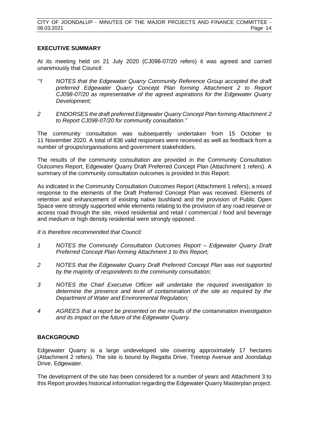#### **EXECUTIVE SUMMARY**

At its meeting held on 21 July 2020 (CJ098-07/20 refers) it was agreed and carried unanimously that Council:

- *"1 NOTES that the Edgewater Quarry Community Reference Group accepted the draft preferred Edgewater Quarry Concept Plan forming Attachment 2 to Report CJ098-07/20 as representative of the agreed aspirations for the Edgewater Quarry Development;*
- *2 ENDORSES the draft preferred Edgewater Quarry Concept Plan forming Attachment 2 to Report CJ098-07/20 for community consultation."*

The community consultation was subsequently undertaken from 15 October to 11 November 2020. A total of 836 valid responses were received as well as feedback from a number of groups/organisations and government stakeholders.

The results of the community consultation are provided in the Community Consultation Outcomes Report, Edgewater Quarry Draft Preferred Concept Plan (Attachment 1 refers). A summary of the community consultation outcomes is provided in this Report.

As indicated in the Community Consultation Outcomes Report (Attachment 1 refers), a mixed response to the elements of the Draft Preferred Concept Plan was received. Elements of retention and enhancement of existing native bushland and the provision of Public Open Space were strongly supported while elements relating to the provision of any road reserve or access road through the site, mixed residential and retail / commercial / food and beverage and medium or high density residential were strongly opposed.

#### *It is therefore recommended that Council:*

- *1 NOTES the Community Consultation Outcomes Report – Edgewater Quarry Draft Preferred Concept Plan forming Attachment 1 to this Report;*
- *2 NOTES that the Edgewater Quarry Draft Preferred Concept Plan was not supported by the majority of respondents to the community consultation;*
- *3 NOTES the Chief Executive Officer will undertake the required investigation to determine the presence and level of contamination of the site as required by the Department of Water and Environmental Regulation;*
- *4 AGREES that a report be presented on the results of the contamination investigation and its impact on the future of the Edgewater Quarry.*

#### **BACKGROUND**

Edgewater Quarry is a large undeveloped site covering approximately 17 hectares (Attachment 2 refers). The site is bound by Regatta Drive, Treetop Avenue and Joondalup Drive, Edgewater.

The development of the site has been considered for a number of years and Attachment 3 to this Report provides historical information regarding the Edgewater Quarry Masterplan project.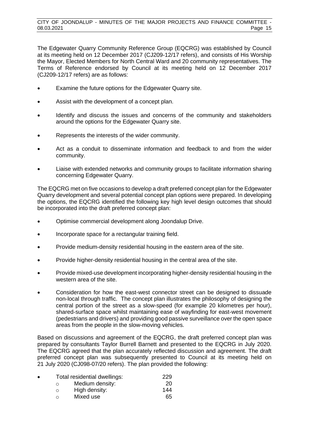The Edgewater Quarry Community Reference Group (EQCRG) was established by Council at its meeting held on 12 December 2017 (CJ209-12/17 refers), and consists of His Worship the Mayor, Elected Members for North Central Ward and 20 community representatives. The Terms of Reference endorsed by Council at its meeting held on 12 December 2017 (CJ209-12/17 refers) are as follows:

- Examine the future options for the Edgewater Quarry site.
- Assist with the development of a concept plan.
- Identify and discuss the issues and concerns of the community and stakeholders around the options for the Edgewater Quarry site.
- Represents the interests of the wider community.
- Act as a conduit to disseminate information and feedback to and from the wider community.
- Liaise with extended networks and community groups to facilitate information sharing concerning Edgewater Quarry.

The EQCRG met on five occasions to develop a draft preferred concept plan for the Edgewater Quarry development and several potential concept plan options were prepared. In developing the options, the EQCRG identified the following key high level design outcomes that should be incorporated into the draft preferred concept plan:

- Optimise commercial development along Joondalup Drive.
- Incorporate space for a rectangular training field.
- Provide medium-density residential housing in the eastern area of the site.
- Provide higher-density residential housing in the central area of the site.
- Provide mixed-use development incorporating higher-density residential housing in the western area of the site.
- Consideration for how the east-west connector street can be designed to dissuade non-local through traffic. The concept plan illustrates the philosophy of designing the central portion of the street as a slow-speed (for example 20 kilometres per hour), shared-surface space whilst maintaining ease of wayfinding for east-west movement (pedestrians and drivers) and providing good passive surveillance over the open space areas from the people in the slow-moving vehicles.

Based on discussions and agreement of the EQCRG, the draft preferred concept plan was prepared by consultants Taylor Burrell Barnett and presented to the EQCRG in July 2020. The EQCRG agreed that the plan accurately reflected discussion and agreement. The draft preferred concept plan was subsequently presented to Council at its meeting held on 21 July 2020 (CJ098-07/20 refers). The plan provided the following:

| $\bullet$ | Total residential dwellings: | 229 |
|-----------|------------------------------|-----|
|           | Medium density:<br>∩         | 20  |
|           | High density:<br>O           | 144 |
|           | Mixed use<br>∩               | 65  |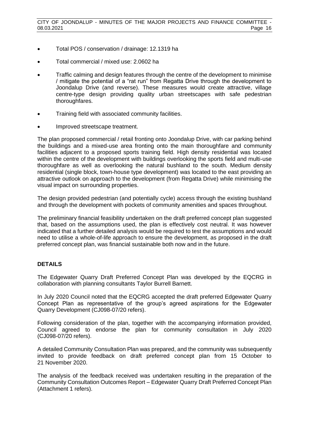- Total POS / conservation / drainage: 12.1319 ha
- Total commercial / mixed use: 2.0602 ha
- Traffic calming and design features through the centre of the development to minimise / mitigate the potential of a "rat run" from Regatta Drive through the development to Joondalup Drive (and reverse). These measures would create attractive, village centre-type design providing quality urban streetscapes with safe pedestrian thoroughfares.
- Training field with associated community facilities.
- Improved streetscape treatment.

The plan proposed commercial / retail fronting onto Joondalup Drive, with car parking behind the buildings and a mixed-use area fronting onto the main thoroughfare and community facilities adjacent to a proposed sports training field. High density residential was located within the centre of the development with buildings overlooking the sports field and multi-use thoroughfare as well as overlooking the natural bushland to the south. Medium density residential (single block, town-house type development) was located to the east providing an attractive outlook on approach to the development (from Regatta Drive) while minimising the visual impact on surrounding properties.

The design provided pedestrian (and potentially cycle) access through the existing bushland and through the development with pockets of community amenities and spaces throughout.

The preliminary financial feasibility undertaken on the draft preferred concept plan suggested that, based on the assumptions used, the plan is effectively cost neutral. It was however indicated that a further detailed analysis would be required to test the assumptions and would need to utilise a whole-of-life approach to ensure the development, as proposed in the draft preferred concept plan, was financial sustainable both now and in the future.

## **DETAILS**

The Edgewater Quarry Draft Preferred Concept Plan was developed by the EQCRG in collaboration with planning consultants Taylor Burrell Barnett.

In July 2020 Council noted that the EQCRG accepted the draft preferred Edgewater Quarry Concept Plan as representative of the group's agreed aspirations for the Edgewater Quarry Development (CJ098-07/20 refers).

Following consideration of the plan, together with the accompanying information provided, Council agreed to endorse the plan for community consultation in July 2020 (CJ098-07/20 refers).

A detailed Community Consultation Plan was prepared, and the community was subsequently invited to provide feedback on draft preferred concept plan from 15 October to 21 November 2020.

The analysis of the feedback received was undertaken resulting in the preparation of the Community Consultation Outcomes Report – Edgewater Quarry Draft Preferred Concept Plan (Attachment 1 refers).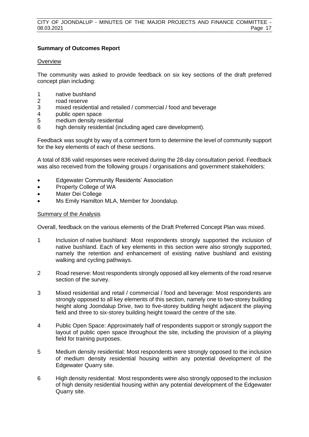#### **Summary of Outcomes Report**

#### **Overview**

The community was asked to provide feedback on six key sections of the draft preferred concept plan including:

- 1 native bushland
- 2 road reserve
- 3 mixed residential and retailed / commercial / food and beverage
- 4 public open space
- 5 medium density residential
- 6 high density residential (including aged care development).

Feedback was sought by way of a comment form to determine the level of community support for the key elements of each of these sections.

A total of 836 valid responses were received during the 28-day consultation period. Feedback was also received from the following groups / organisations and government stakeholders:

- Edgewater Community Residents' Association
- Property College of WA
- Mater Dei College
- Ms Emily Hamilton MLA, Member for Joondalup.

#### Summary of the Analysis

Overall, feedback on the various elements of the Draft Preferred Concept Plan was mixed.

- 1 Inclusion of native bushland: Most respondents strongly supported the inclusion of native bushland. Each of key elements in this section were also strongly supported, namely the retention and enhancement of existing native bushland and existing walking and cycling pathways.
- 2 Road reserve: Most respondents strongly opposed all key elements of the road reserve section of the survey.
- 3 Mixed residential and retail / commercial / food and beverage: Most respondents are strongly opposed to all key elements of this section, namely one to two-storey building height along Joondalup Drive, two to five-storey building height adjacent the playing field and three to six-storey building height toward the centre of the site.
- 4 Public Open Space: Approximately half of respondents support or strongly support the layout of public open space throughout the site, including the provision of a playing field for training purposes.
- 5 Medium density residential: Most respondents were strongly opposed to the inclusion of medium density residential housing within any potential development of the Edgewater Quarry site.
- 6 High density residential: Most respondents were also strongly opposed to the inclusion of high density residential housing within any potential development of the Edgewater Quarry site.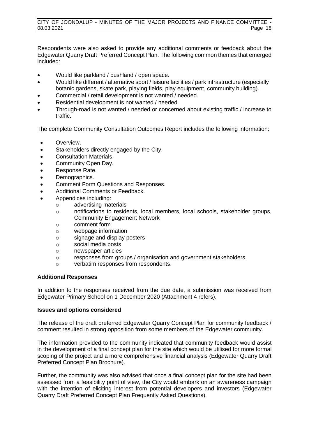Respondents were also asked to provide any additional comments or feedback about the Edgewater Quarry Draft Preferred Concept Plan. The following common themes that emerged included:

- Would like parkland / bushland / open space.
- Would like different / alternative sport / leisure facilities / park infrastructure (especially botanic gardens, skate park, playing fields, play equipment, community building).
- Commercial / retail development is not wanted / needed.
- Residential development is not wanted / needed.
- Through-road is not wanted / needed or concerned about existing traffic / increase to traffic.

The complete Community Consultation Outcomes Report includes the following information:

- Overview.
- Stakeholders directly engaged by the City.
- Consultation Materials.
- Community Open Day.
- Response Rate.
- Demographics.
- Comment Form Questions and Responses.
- Additional Comments or Feedback.
- Appendices including:
	- o advertising materials
	- o notifications to residents, local members, local schools, stakeholder groups, Community Engagement Network
	- o comment form
	- o webpage information
	- o signage and display posters
	- o social media posts
	- o newspaper articles
	- o responses from groups / organisation and government stakeholders
	- o verbatim responses from respondents.

#### **Additional Responses**

In addition to the responses received from the due date, a submission was received from Edgewater Primary School on 1 December 2020 (Attachment 4 refers).

#### **Issues and options considered**

The release of the draft preferred Edgewater Quarry Concept Plan for community feedback / comment resulted in strong opposition from some members of the Edgewater community.

The information provided to the community indicated that community feedback would assist in the development of a final concept plan for the site which would be utilised for more formal scoping of the project and a more comprehensive financial analysis (Edgewater Quarry Draft Preferred Concept Plan Brochure).

Further, the community was also advised that once a final concept plan for the site had been assessed from a feasibility point of view, the City would embark on an awareness campaign with the intention of eliciting interest from potential developers and investors (Edgewater Quarry Draft Preferred Concept Plan Frequently Asked Questions).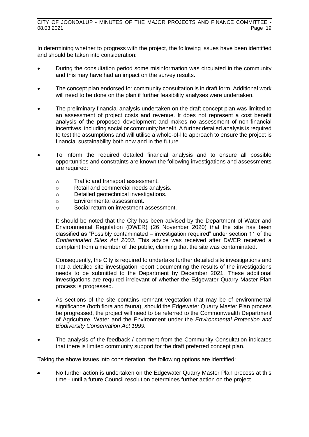In determining whether to progress with the project, the following issues have been identified and should be taken into consideration:

- During the consultation period some misinformation was circulated in the community and this may have had an impact on the survey results.
- The concept plan endorsed for community consultation is in draft form. Additional work will need to be done on the plan if further feasibility analyses were undertaken.
- The preliminary financial analysis undertaken on the draft concept plan was limited to an assessment of project costs and revenue. It does not represent a cost benefit analysis of the proposed development and makes no assessment of non-financial incentives, including social or community benefit. A further detailed analysis is required to test the assumptions and will utilise a whole-of-life approach to ensure the project is financial sustainability both now and in the future.
- To inform the required detailed financial analysis and to ensure all possible opportunities and constraints are known the following investigations and assessments are required:
	- o Traffic and transport assessment.
	- o Retail and commercial needs analysis.
	- o Detailed geotechnical investigations.
	- o Environmental assessment.
	- o Social return on investment assessment.

It should be noted that the City has been advised by the Department of Water and Environmental Regulation (DWER) (26 November 2020) that the site has been classified as "Possibly contaminated – investigation required" under section 11 of the *Contaminated Sites Act 2003*. This advice was received after DWER received a complaint from a member of the public, claiming that the site was contaminated.

Consequently, the City is required to undertake further detailed site investigations and that a detailed site investigation report documenting the results of the investigations needs to be submitted to the Department by December 2021. These additional investigations are required irrelevant of whether the Edgewater Quarry Master Plan process is progressed.

- As sections of the site contains remnant vegetation that may be of environmental significance (both flora and fauna), should the Edgewater Quarry Master Plan process be progressed, the project will need to be referred to the Commonwealth Department of Agriculture, Water and the Environment under the *Environmental Protection and Biodiversity Conservation Act 1999.*
- The analysis of the feedback / comment from the Community Consultation indicates that there is limited community support for the draft preferred concept plan.

Taking the above issues into consideration, the following options are identified:

• No further action is undertaken on the Edgewater Quarry Master Plan process at this time - until a future Council resolution determines further action on the project.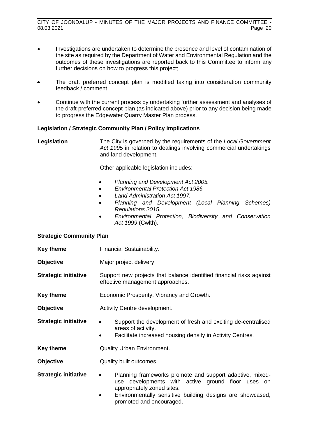- Investigations are undertaken to determine the presence and level of contamination of the site as required by the Department of Water and Environmental Regulation and the outcomes of these investigations are reported back to this Committee to inform any further decisions on how to progress this project;
- The draft preferred concept plan is modified taking into consideration community feedback / comment.
- Continue with the current process by undertaking further assessment and analyses of the draft preferred concept plan (as indicated above) prior to any decision being made to progress the Edgewater Quarry Master Plan process.

#### **Legislation / Strategic Community Plan / Policy implications**

```
Legislation The City is governed by the requirements of the Local Government 
                      Act 1995 in relation to dealings involving commercial undertakings 
                      and land development.
```
Other applicable legislation includes:

- *Planning and Development Act 2005.*
- *Environmental Protection Act 1986.*
- *Land Administration Act 1997.*
- *Planning and Development (Local Planning Schemes) Regulations 2015.*
- *Environmental Protection, Biodiversity and Conservation Act 1999* (Cwlth).

#### **Strategic Community Plan**

- **Key theme Financial Sustainability.**
- **Objective** Major project delivery.

**Strategic initiative** Support new projects that balance identified financial risks against effective management approaches.

- **Key theme Economic Prosperity, Vibrancy and Growth.**
- **Objective Activity Centre development.**
- **Strategic initiative •** Support the development of fresh and exciting de-centralised areas of activity.
	- Facilitate increased housing density in Activity Centres.

**Key theme Quality Urban Environment.** 

- **Objective** Quality built outcomes.
- **Strategic initiative •** Planning frameworks promote and support adaptive, mixeduse developments with active ground floor uses on appropriately zoned sites.
	- Environmentally sensitive building designs are showcased. promoted and encouraged.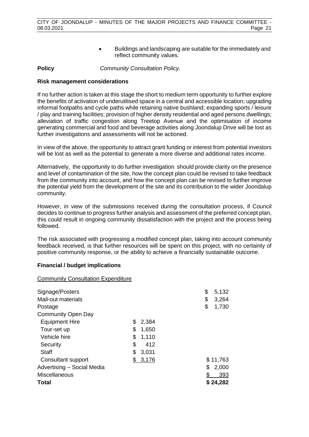• Buildings and landscaping are suitable for the immediately and reflect community values.

**Policy** *Community Consultation Policy.*

#### **Risk management considerations**

If no further action is taken at this stage the short to medium term opportunity to further explore the benefits of activation of underutilised space in a central and accessible location; upgrading informal footpaths and cycle paths while retaining native bushland; expanding sports / leisure / play and training facilities; provision of higher density residential and aged persons dwellings; alleviation of traffic congestion along Treetop Avenue and the optimisation of income generating commercial and food and beverage activities along Joondalup Drive will be lost as further investigations and assessments will not be actioned.

In view of the above, the opportunity to attract grant funding or interest from potential investors will be lost as well as the potential to generate a more diverse and additional rates income.

Alternatively, the opportunity to do further investigation should provide clarity on the presence and level of contamination of the site, how the concept plan could be revised to take feedback from the community into account, and how the concept plan can be revised to further improve the potential yield from the development of the site and its contribution to the wider Joondalup community.

However, in view of the submissions received during the consultation process, if Council decides to continue to progress further analysis and assessment of the preferred concept plan, this could result in ongoing community dissatisfaction with the project and the process being followed.

The risk associated with progressing a modified concept plan, taking into account community feedback received, is that further resources will be spent on this project, with no certainty of positive community response, or the ability to achieve a financially sustainable outcome.

#### **Financial / budget implications**

#### Community Consultation Expenditure

| Signage/Posters            |    |       | \$ | 5,132    |
|----------------------------|----|-------|----|----------|
| Mail-out materials         |    |       | \$ | 3,264    |
| Postage                    |    |       | \$ | 1,730    |
| <b>Community Open Day</b>  |    |       |    |          |
| <b>Equipment Hire</b>      | S  | 2,384 |    |          |
| Tour-set up                | \$ | 1,650 |    |          |
| Vehicle hire               | \$ | 1,110 |    |          |
| Security                   | \$ | 412   |    |          |
| Staff                      | \$ | 3,031 |    |          |
| Consultant support         |    | 3,176 |    | \$11,763 |
| Advertising - Social Media |    |       | \$ | 2,000    |
| <b>Miscellaneous</b>       |    |       |    | 393      |
| Total                      |    |       |    | \$24,282 |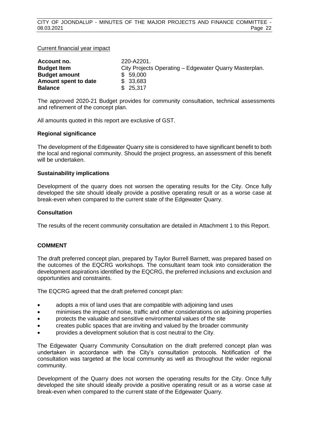#### Current financial year impact

| Account no.          | 220-A2201.                                             |
|----------------------|--------------------------------------------------------|
| <b>Budget Item</b>   | City Projects Operating - Edgewater Quarry Masterplan. |
| <b>Budget amount</b> | \$ 59,000                                              |
| Amount spent to date | \$33,683                                               |
| <b>Balance</b>       | \$25,317                                               |

The approved 2020-21 Budget provides for community consultation, technical assessments and refinement of the concept plan.

All amounts quoted in this report are exclusive of GST.

#### **Regional significance**

The development of the Edgewater Quarry site is considered to have significant benefit to both the local and regional community. Should the project progress, an assessment of this benefit will be undertaken.

#### **Sustainability implications**

Development of the quarry does not worsen the operating results for the City. Once fully developed the site should ideally provide a positive operating result or as a worse case at break-even when compared to the current state of the Edgewater Quarry.

#### **Consultation**

The results of the recent community consultation are detailed in Attachment 1 to this Report.

#### **COMMENT**

The draft preferred concept plan, prepared by Taylor Burrell Barnett, was prepared based on the outcomes of the EQCRG workshops. The consultant team took into consideration the development aspirations identified by the EQCRG, the preferred inclusions and exclusion and opportunities and constraints.

The EQCRG agreed that the draft preferred concept plan:

- adopts a mix of land uses that are compatible with adjoining land uses
- minimises the impact of noise, traffic and other considerations on adjoining properties
- protects the valuable and sensitive environmental values of the site
- creates public spaces that are inviting and valued by the broader community
- provides a development solution that is cost neutral to the City.

The Edgewater Quarry Community Consultation on the draft preferred concept plan was undertaken in accordance with the City's consultation protocols. Notification of the consultation was targeted at the local community as well as throughout the wider regional community.

Development of the Quarry does not worsen the operating results for the City. Once fully developed the site should ideally provide a positive operating result or as a worse case at break-even when compared to the current state of the Edgewater Quarry.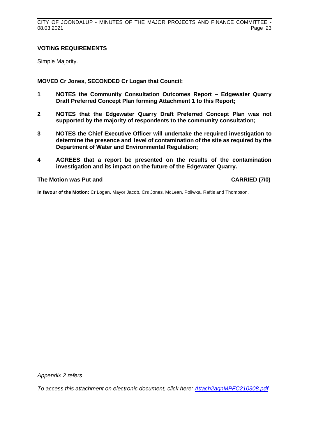#### **VOTING REQUIREMENTS**

Simple Majority.

**MOVED Cr Jones, SECONDED Cr Logan that Council:**

- **1 NOTES the Community Consultation Outcomes Report – Edgewater Quarry Draft Preferred Concept Plan forming Attachment 1 to this Report;**
- **2 NOTES that the Edgewater Quarry Draft Preferred Concept Plan was not supported by the majority of respondents to the community consultation;**
- **3 NOTES the Chief Executive Officer will undertake the required investigation to determine the presence and level of contamination of the site as required by the Department of Water and Environmental Regulation;**
- **4 AGREES that a report be presented on the results of the contamination investigation and its impact on the future of the Edgewater Quarry.**

#### **The Motion was Put and CARRIED (7/0)**

**In favour of the Motion:** Cr Logan, Mayor Jacob, Crs Jones, McLean, Poliwka, Raftis and Thompson.

*Appendix 2 refers*

*To access this attachment on electronic document, click h[ere: Attach2agnMPFC210308.pdf](http://www.joondalup.wa.gov.au/files/committees/MPFI/2021/Attach2agnMPFC210308.pdf)*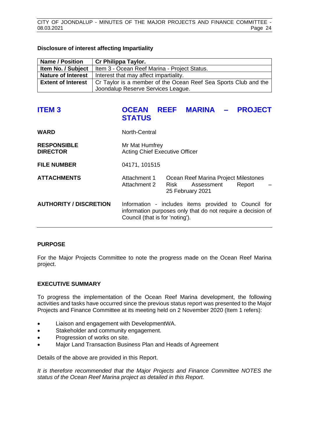#### **Disclosure of interest affecting Impartiality**

| <b>Name / Position</b>    | Cr Philippa Taylor.                                             |
|---------------------------|-----------------------------------------------------------------|
| Item No. / Subject        | Item 3 - Ocean Reef Marina - Project Status.                    |
| <b>Nature of Interest</b> | Interest that may affect impartiality.                          |
| <b>Extent of Interest</b> | Cr Taylor is a member of the Ocean Reef Sea Sports Club and the |
|                           | Joondalup Reserve Services League.                              |

# <span id="page-24-0"></span>**ITEM 3 OCEAN REEF MARINA – PROJECT STATUS**

| <b>WARD</b>                           | North-Central                                           |                                                                                                                     |  |
|---------------------------------------|---------------------------------------------------------|---------------------------------------------------------------------------------------------------------------------|--|
| <b>RESPONSIBLE</b><br><b>DIRECTOR</b> | Mr Mat Humfrey<br><b>Acting Chief Executive Officer</b> |                                                                                                                     |  |
| <b>FILE NUMBER</b>                    | 04171, 101515                                           |                                                                                                                     |  |
| <b>ATTACHMENTS</b>                    | Attachment 1<br>Attachment 2                            | Ocean Reef Marina Project Milestones<br>Risk<br>Assessment<br>Report<br>25 February 2021                            |  |
| <b>AUTHORITY / DISCRETION</b>         | Council (that is for 'noting').                         | Information - includes items provided to Council for<br>information purposes only that do not require a decision of |  |

#### **PURPOSE**

For the Major Projects Committee to note the progress made on the Ocean Reef Marina project.

#### **EXECUTIVE SUMMARY**

To progress the implementation of the Ocean Reef Marina development, the following activities and tasks have occurred since the previous status report was presented to the Major Projects and Finance Committee at its meeting held on 2 November 2020 (Item 1 refers):

- Liaison and engagement with DevelopmentWA.
- Stakeholder and community engagement.
- Progression of works on site.
- Major Land Transaction Business Plan and Heads of Agreement

Details of the above are provided in this Report.

*It is therefore recommended that the Major Projects and Finance Committee NOTES the status of the Ocean Reef Marina project as detailed in this Report.*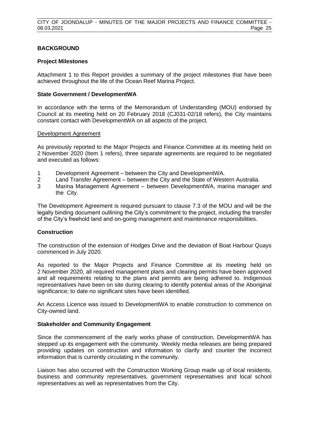#### **BACKGROUND**

#### **Project Milestones**

Attachment 1 to this Report provides a summary of the project milestones that have been achieved throughout the life of the Ocean Reef Marina Project.

#### **State Government / DevelopmentWA**

In accordance with the terms of the Memorandum of Understanding (MOU) endorsed by Council at its meeting held on 20 February 2018 (CJ031-02/18 refers), the City maintains constant contact with DevelopmentWA on all aspects of the project.

#### Development Agreement

As previously reported to the Major Projects and Finance Committee at its meeting held on 2 November 2020 (Item 1 refers), three separate agreements are required to be negotiated and executed as follows:

- 1 Development Agreement between the City and DevelopmentWA.
- 2 Land Transfer Agreement between the City and the State of Western Australia.
- 3 Marina Management Agreement between DevelopmentWA, marina manager and the City.

The Development Agreement is required pursuant to clause 7.3 of the MOU and will be the legally binding document outlining the City's commitment to the project, including the transfer of the City's freehold land and on-going management and maintenance responsibilities.

#### **Construction**

The construction of the extension of Hodges Drive and the deviation of Boat Harbour Quays commenced in July 2020.

As reported to the Major Projects and Finance Committee at its meeting held on 2 November 2020, all required management plans and clearing permits have been approved and all requirements relating to the plans and permits are being adhered to. Indigenous representatives have been on site during clearing to identify potential areas of the Aboriginal significance; to date no significant sites have been identified.

An Access Licence was issued to DevelopmentWA to enable construction to commence on City-owned land.

#### **Stakeholder and Community Engagement**

Since the commencement of the early works phase of construction, DevelopmentWA has stepped up its engagement with the community. Weekly media releases are being prepared providing updates on construction and information to clarify and counter the incorrect information that is currently circulating in the community.

Liaison has also occurred with the Construction Working Group made up of local residents, business and community representatives, government representatives and local school representatives as well as representatives from the City.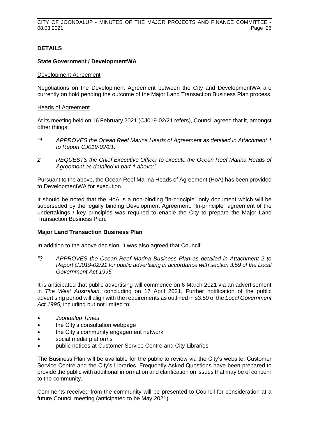#### **DETAILS**

#### **State Government / DevelopmentWA**

#### Development Agreement

Negotiations on the Development Agreement between the City and DevelopmentWA are currently on hold pending the outcome of the Major Land Transaction Business Plan process.

#### Heads of Agreement

At its meeting held on 16 February 2021 (CJ019-02/21 refers), Council agreed that it, amongst other things:

- *"1 APPROVES the Ocean Reef Marina Heads of Agreement as detailed in Attachment 1 to Report CJ019-02/21;*
- *2 REQUESTS the Chief Executive Officer to execute the Ocean Reef Marina Heads of Agreement as detailed in part 1 above;"*

Pursuant to the above, the Ocean Reef Marina Heads of Agreement (HoA) has been provided to DevelopmentWA for execution.

It should be noted that the HoA is a non-binding "in-principle" only document which will be superseded by the legally binding Development Agreement. "In-principle" agreement of the undertakings / key principles was required to enable the City to prepare the Major Land Transaction Business Plan.

#### **Major Land Transaction Business Plan**

In addition to the above decision, it was also agreed that Council:

*"3 APPROVES the Ocean Reef Marina Business Plan as detailed in Attachment 2 to Report CJ019-02/21 for public advertising in accordance with section 3.59 of the Local Government Act 1995.*

It is anticipated that public advertising will commence on 6 March 2021 via an advertisement in *The West Australian,* concluding on 17 April 2021. Further notification of the public advertising period will align with the requirements as outlined in s3.59 of the *Local Government Act 1995,* including but not limited to:

- *Joondalup Times*
- the City's consultation webpage
- the City's community engagement network
- social media platforms
- public notices at Customer Service Centre and City Libraries

The Business Plan will be available for the public to review via the City's website, Customer Service Centre and the City's Libraries. Frequently Asked Questions have been prepared to provide the public with additional information and clarification on issues that may be of concern to the community.

Comments received from the community will be presented to Council for consideration at a future Council meeting (anticipated to be May 2021).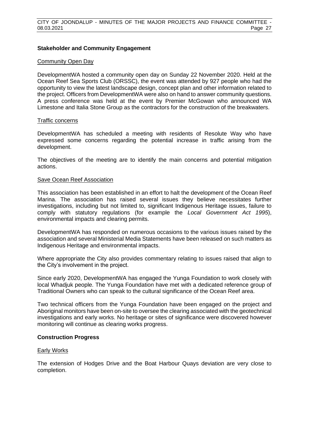#### **Stakeholder and Community Engagement**

#### Community Open Day

DevelopmentWA hosted a community open day on Sunday 22 November 2020. Held at the Ocean Reef Sea Sports Club (ORSSC), the event was attended by 927 people who had the opportunity to view the latest landscape design, concept plan and other information related to the project. Officers from DevelopmentWA were also on hand to answer community questions. A press conference was held at the event by Premier McGowan who announced WA Limestone and Italia Stone Group as the contractors for the construction of the breakwaters.

#### Traffic concerns

DevelopmentWA has scheduled a meeting with residents of Resolute Way who have expressed some concerns regarding the potential increase in traffic arising from the development.

The objectives of the meeting are to identify the main concerns and potential mitigation actions.

#### Save Ocean Reef Association

This association has been established in an effort to halt the development of the Ocean Reef Marina. The association has raised several issues they believe necessitates further investigations, including but not limited to, significant Indigenous Heritage issues, failure to comply with statutory regulations (for example the *Local Government Act 1995*), environmental impacts and clearing permits.

DevelopmentWA has responded on numerous occasions to the various issues raised by the association and several Ministerial Media Statements have been released on such matters as Indigenous Heritage and environmental impacts.

Where appropriate the City also provides commentary relating to issues raised that align to the City's involvement in the project.

Since early 2020, DevelopmentWA has engaged the Yunga Foundation to work closely with local Whadjuk people. The Yunga Foundation have met with a dedicated reference group of Traditional Owners who can speak to the cultural significance of the Ocean Reef area.

Two technical officers from the Yunga Foundation have been engaged on the project and Aboriginal monitors have been on-site to oversee the clearing associated with the geotechnical investigations and early works. No heritage or sites of significance were discovered however monitoring will continue as clearing works progress.

#### **Construction Progress**

#### Early Works

The extension of Hodges Drive and the Boat Harbour Quays deviation are very close to completion.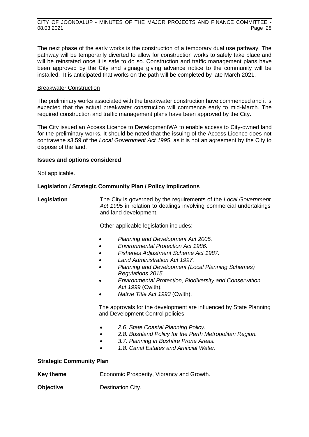The next phase of the early works is the construction of a temporary dual use pathway. The pathway will be temporarily diverted to allow for construction works to safely take place and will be reinstated once it is safe to do so. Construction and traffic management plans have been approved by the City and signage giving advance notice to the community will be installed. It is anticipated that works on the path will be completed by late March 2021.

#### **Breakwater Construction**

The preliminary works associated with the breakwater construction have commenced and it is expected that the actual breakwater construction will commence early to mid-March. The required construction and traffic management plans have been approved by the City.

The City issued an Access Licence to DevelopmentWA to enable access to City-owned land for the preliminary works. It should be noted that the issuing of the Access Licence does not contravene s3.59 of the *Local Government Act 1995*, as it is not an agreement by the City to dispose of the land.

#### **Issues and options considered**

Not applicable.

#### **Legislation / Strategic Community Plan / Policy implications**

**Legislation** The City is governed by the requirements of the *Local Government Act 1995* in relation to dealings involving commercial undertakings and land development.

Other applicable legislation includes:

- *Planning and Development Act 2005.*
- *Environmental Protection Act 1986.*
- *Fisheries Adjustment Scheme Act 1987.*
- *Land Administration Act 1997.*
- *Planning and Development (Local Planning Schemes) Regulations 2015.*
- *Environmental Protection, Biodiversity and Conservation Act 1999* (Cwlth).
- *Native Title Act 1993* (Cwlth).

The approvals for the development are influenced by State Planning and Development Control policies:

- *2.6: State Coastal Planning Policy.*
- *2.8: Bushland Policy for the Perth Metropolitan Region.*
- *3.7: Planning in Bushfire Prone Areas.*
- *1.8: Canal Estates and Artificial Water.*

#### **Strategic Community Plan**

**Key theme** Economic Prosperity, Vibrancy and Growth.

**Objective Destination City.**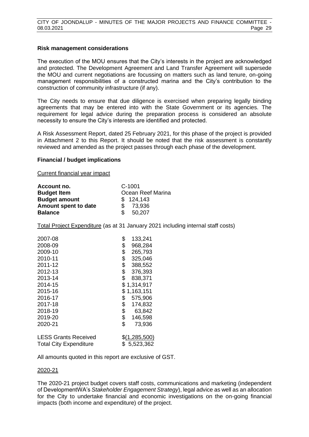#### **Risk management considerations**

The execution of the MOU ensures that the City's interests in the project are acknowledged and protected. The Development Agreement and Land Transfer Agreement will supersede the MOU and current negotiations are focussing on matters such as land tenure, on-going management responsibilities of a constructed marina and the City's contribution to the construction of community infrastructure (if any).

The City needs to ensure that due diligence is exercised when preparing legally binding agreements that may be entered into with the State Government or its agencies. The requirement for legal advice during the preparation process is considered an absolute necessity to ensure the City's interests are identified and protected.

A Risk Assessment Report, dated 25 February 2021, for this phase of the project is provided in Attachment 2 to this Report. It should be noted that the risk assessment is constantly reviewed and amended as the project passes through each phase of the development.

#### **Financial / budget implications**

Current financial year impact

| Account no.          | $C-1001$          |
|----------------------|-------------------|
| <b>Budget Item</b>   | Ocean Reef Marina |
| <b>Budget amount</b> | \$124,143         |
| Amount spent to date | 73,936<br>\$      |
| <b>Balance</b>       | 50,207<br>\$.     |

Total Project Expenditure (as at 31 January 2021 including internal staff costs)

| 2007-08                       | \$<br>133,241   |
|-------------------------------|-----------------|
| 2008-09                       | \$<br>968,284   |
| 2009-10                       | \$<br>265,793   |
| 2010-11                       | \$<br>325,046   |
| 2011-12                       | \$<br>388,552   |
| 2012-13                       | \$<br>376,393   |
| 2013-14                       | \$<br>838,371   |
| 2014-15                       | \$1,314,917     |
| 2015-16                       | \$<br>1,163,151 |
| 2016-17                       | \$<br>575,906   |
| 2017-18                       | \$<br>174,832   |
| 2018-19                       | \$<br>63,842    |
| 2019-20                       | \$<br>146,598   |
| 2020-21                       | \$<br>73,936    |
| <b>LESS Grants Received</b>   | \$(1,285,500)   |
| <b>Total City Expenditure</b> | \$5,523,362     |

All amounts quoted in this report are exclusive of GST.

#### 2020-21

The 2020-21 project budget covers staff costs, communications and marketing (independent of DevelopmentWA's *Stakeholder Engagement Strategy*), legal advice as well as an allocation for the City to undertake financial and economic investigations on the on-going financial impacts (both income and expenditure) of the project.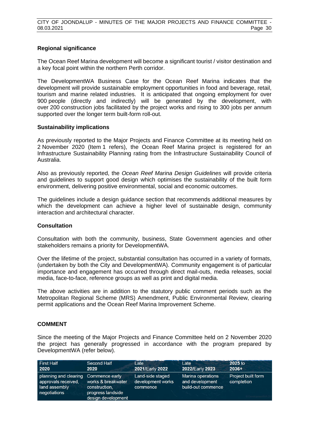#### **Regional significance**

The Ocean Reef Marina development will become a significant tourist / visitor destination and a key focal point within the northern Perth corridor.

The DevelopmentWA Business Case for the Ocean Reef Marina indicates that the development will provide sustainable employment opportunities in food and beverage, retail, tourism and marine related industries. It is anticipated that ongoing employment for over 900 people (directly and indirectly) will be generated by the development, with over 200 construction jobs facilitated by the project works and rising to 300 jobs per annum supported over the longer term built-form roll-out.

#### **Sustainability implications**

As previously reported to the Major Projects and Finance Committee at its meeting held on 2 November 2020 (Item 1 refers), the Ocean Reef Marina project is registered for an Infrastructure Sustainability Planning rating from the Infrastructure Sustainability Council of Australia.

Also as previously reported, the *Ocean Reef Marina Design Guidelines* will provide criteria and guidelines to support good design which optimises the sustainability of the built form environment, delivering positive environmental, social and economic outcomes.

The guidelines include a design guidance section that recommends additional measures by which the development can achieve a higher level of sustainable design, community interaction and architectural character.

#### **Consultation**

Consultation with both the community, business, State Government agencies and other stakeholders remains a priority for DevelopmentWA.

Over the lifetime of the project, substantial consultation has occurred in a variety of formats, (undertaken by both the City and DevelopmentWA). Community engagement is of particular importance and engagement has occurred through direct mail-outs, media releases, social media, face-to-face, reference groups as well as print and digital media.

The above activities are in addition to the statutory public comment periods such as the Metropolitan Regional Scheme (MRS) Amendment, Public Environmental Review, clearing permit applications and the Ocean Reef Marina Improvement Scheme.

#### **COMMENT**

Since the meeting of the Major Projects and Finance Committee held on 2 November 2020 the project has generally progressed in accordance with the program prepared by DevelopmentWA (refer below).

| <b>First Half</b>                                                             | Second Half                                                                                      | Late                                              | Late                                                       | 2025 to                          |
|-------------------------------------------------------------------------------|--------------------------------------------------------------------------------------------------|---------------------------------------------------|------------------------------------------------------------|----------------------------------|
| 2020                                                                          | 2020                                                                                             | 2021/Early 2022                                   | 2022/Early 2023                                            | $2036+$                          |
| planning and clearing<br>approvals received.<br>land assembly<br>negotiations | Commence early<br>works & breakwater<br>construction.<br>progress landside<br>design development | Land-side staged<br>development works<br>commence | Marina operations<br>and development<br>build-out commence | Project built form<br>completion |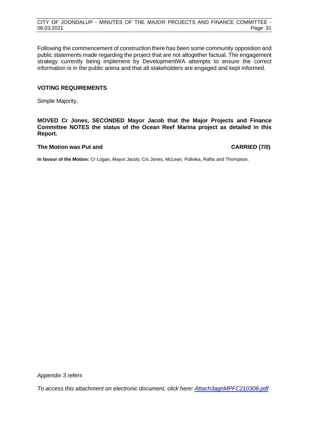Following the commencement of construction there has been some community opposition and public statements made regarding the project that are not altogether factual. The engagement strategy currently being implement by DevelopmentWA attempts to ensure the correct information is in the public arena and that all stakeholders are engaged and kept informed.

#### **VOTING REQUIREMENTS**

Simple Majority.

**MOVED Cr Jones, SECONDED Mayor Jacob that the Major Projects and Finance Committee NOTES the status of the Ocean Reef Marina project as detailed in this Report.**

#### **The Motion was Put and CARRIED (7/0)**

**In favour of the Motion:** Cr Logan, Mayor Jacob, Crs Jones, McLean, Poliwka, Raftis and Thompson.

*Appendix 3 refers*

*To access this attachment on electronic document, click h[ere: Attach3agnMPFC210308.pdf](http://www.joondalup.wa.gov.au/files/committees/MPFI/2021/Attach3agnMPFC210308.pdf)*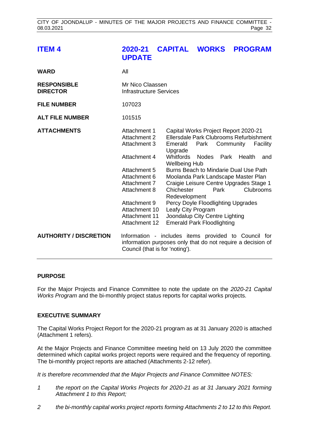<span id="page-32-0"></span>

| <b>ITEM4</b>                          | 2020-21<br><b>UPDATE</b>                                                                                                                                                                               | <b>CAPITAL WORKS</b>                                                                          |                                                                                                                                                                                                                                                                                                                                                               |              | <b>PROGRAM</b>           |                                     |
|---------------------------------------|--------------------------------------------------------------------------------------------------------------------------------------------------------------------------------------------------------|-----------------------------------------------------------------------------------------------|---------------------------------------------------------------------------------------------------------------------------------------------------------------------------------------------------------------------------------------------------------------------------------------------------------------------------------------------------------------|--------------|--------------------------|-------------------------------------|
| <b>WARD</b>                           | All                                                                                                                                                                                                    |                                                                                               |                                                                                                                                                                                                                                                                                                                                                               |              |                          |                                     |
| <b>RESPONSIBLE</b><br><b>DIRECTOR</b> | Mr Nico Claassen<br><b>Infrastructure Services</b>                                                                                                                                                     |                                                                                               |                                                                                                                                                                                                                                                                                                                                                               |              |                          |                                     |
| <b>FILE NUMBER</b>                    | 107023                                                                                                                                                                                                 |                                                                                               |                                                                                                                                                                                                                                                                                                                                                               |              |                          |                                     |
| <b>ALT FILE NUMBER</b>                | 101515                                                                                                                                                                                                 |                                                                                               |                                                                                                                                                                                                                                                                                                                                                               |              |                          |                                     |
| <b>ATTACHMENTS</b>                    | Attachment 1<br><b>Attachment 2</b><br>Attachment 3<br>Attachment 4<br>Attachment 5<br>Attachment 6<br>Attachment 7<br>Attachment 8<br>Attachment 9<br>Attachment 10<br>Attachment 11<br>Attachment 12 | Emerald<br>Upgrade<br><b>Whitfords</b><br><b>Wellbeing Hub</b><br>Chichester<br>Redevelopment | Capital Works Project Report 2020-21<br>Ellersdale Park Clubrooms Refurbishment<br><b>Nodes</b><br>Burns Beach to Mindarie Dual Use Path<br>Moolanda Park Landscape Master Plan<br>Craigie Leisure Centre Upgrades Stage 1<br>Percy Doyle Floodlighting Upgrades<br>Leafy City Program<br>Joondalup City Centre Lighting<br><b>Emerald Park Floodlighting</b> | Park<br>Park | Park Community<br>Health | Facility<br>and<br><b>Clubrooms</b> |
| <b>AUTHORITY / DISCRETION</b>         | Information - includes items provided to Council for<br>information purposes only that do not require a decision of<br>Council (that is for 'noting').                                                 |                                                                                               |                                                                                                                                                                                                                                                                                                                                                               |              |                          |                                     |

#### **PURPOSE**

For the Major Projects and Finance Committee to note the update on the *2020-21 Capital Works Program* and the bi-monthly project status reports for capital works projects.

#### **EXECUTIVE SUMMARY**

The Capital Works Project Report for the 2020-21 program as at 31 January 2020 is attached (Attachment 1 refers).

At the Major Projects and Finance Committee meeting held on 13 July 2020 the committee determined which capital works project reports were required and the frequency of reporting. The bi-monthly project reports are attached (Attachments 2-12 refer).

*It is therefore recommended that the Major Projects and Finance Committee NOTES:*

- *1 the report on the Capital Works Projects for 2020-21 as at 31 January 2021 forming Attachment 1 to this Report;*
- *2 the bi-monthly capital works project reports forming Attachments 2 to 12 to this Report.*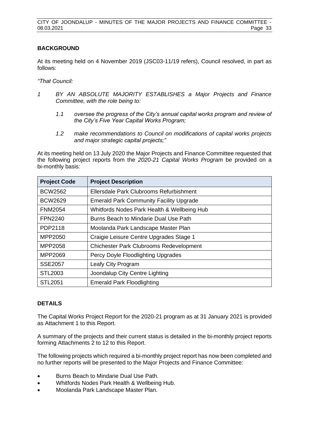#### **BACKGROUND**

At its meeting held on 4 November 2019 (JSC03-11/19 refers), Council resolved, in part as follows:

*"That Council:*

- *1 BY AN ABSOLUTE MAJORITY ESTABLISHES a Major Projects and Finance Committee, with the role being to:*
	- *1.1 oversee the progress of the City's annual capital works program and review of the City's Five Year Capital Works Program;*
	- *1.2 make recommendations to Council on modifications of capital works projects and major strategic capital projects;"*

At its meeting held on 13 July 2020 the Major Projects and Finance Committee requested that the following project reports from the *2020-21 Capital Works Program* be provided on a bi-monthly basis:

| <b>Project Code</b> | <b>Project Description</b>                     |
|---------------------|------------------------------------------------|
| <b>BCW2562</b>      | Ellersdale Park Clubrooms Refurbishment        |
| <b>BCW2629</b>      | <b>Emerald Park Community Facility Upgrade</b> |
| <b>FNM2054</b>      | Whitfords Nodes Park Health & Wellbeing Hub    |
| <b>FPN2240</b>      | Burns Beach to Mindarie Dual Use Path          |
| PDP2118             | Moolanda Park Landscape Master Plan            |
| MPP2050             | Craigie Leisure Centre Upgrades Stage 1        |
| MPP2058             | <b>Chichester Park Clubrooms Redevelopment</b> |
| MPP2069             | Percy Doyle Floodlighting Upgrades             |
| <b>SSE2057</b>      | Leafy City Program                             |
| STL2003             | Joondalup City Centre Lighting                 |
| <b>STL2051</b>      | <b>Emerald Park Floodlighting</b>              |

#### **DETAILS**

The Capital Works Project Report for the 2020-21 program as at 31 January 2021 is provided as Attachment 1 to this Report.

A summary of the projects and their current status is detailed in the bi-monthly project reports forming Attachments 2 to 12 to this Report.

The following projects which required a bi-monthly project report has now been completed and no further reports will be presented to the Major Projects and Finance Committee:

- Burns Beach to Mindarie Dual Use Path.
- Whitfords Nodes Park Health & Wellbeing Hub.
- Moolanda Park Landscape Master Plan.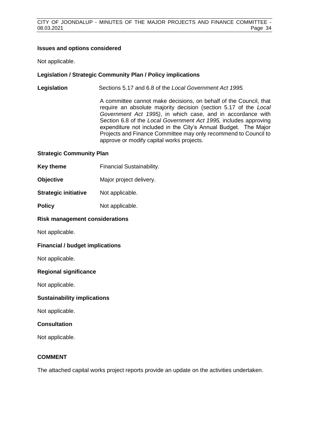#### **Issues and options considered**

Not applicable.

#### **Legislation / Strategic Community Plan / Policy implications**

**Legislation** Sections 5.17 and 6.8 of the *Local Government Act 1995.*

A committee cannot make decisions, on behalf of the Council, that require an absolute majority decision (section 5.17 of the *Local Government Act 1995)*, in which case, and in accordance with Section 6.8 of the *Local Government Act 1995,* includes approving expenditure not included in the City's Annual Budget. The Major Projects and Finance Committee may only recommend to Council to approve or modify capital works projects.

#### **Strategic Community Plan**

- **Key theme Financial Sustainability.**
- **Objective** Major project delivery.
- **Strategic initiative** Not applicable.
- **Policy** Not applicable.

#### **Risk management considerations**

Not applicable.

#### **Financial / budget implications**

Not applicable.

#### **Regional significance**

Not applicable.

#### **Sustainability implications**

Not applicable.

#### **Consultation**

Not applicable.

#### **COMMENT**

The attached capital works project reports provide an update on the activities undertaken.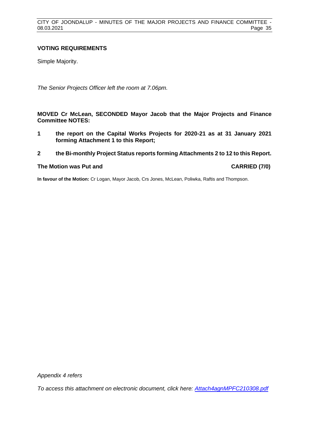#### **VOTING REQUIREMENTS**

Simple Majority.

*The Senior Projects Officer left the room at 7.06pm.*

**MOVED Cr McLean, SECONDED Mayor Jacob that the Major Projects and Finance Committee NOTES:**

- **1 the report on the Capital Works Projects for 2020-21 as at 31 January 2021 forming Attachment 1 to this Report;**
- **2 the Bi-monthly Project Status reports forming Attachments 2 to 12 to this Report.**

#### **The Motion was Put and CARRIED (7/0)**

**In favour of the Motion:** Cr Logan, Mayor Jacob, Crs Jones, McLean, Poliwka, Raftis and Thompson.

*Appendix 4 refers*

*To access this attachment on electronic document, click her[e: Attach4agnMPFC210308.pdf](http://www.joondalup.wa.gov.au/files/committees/MPFI/2021/Attach4agnMPFC210308.pdf)*